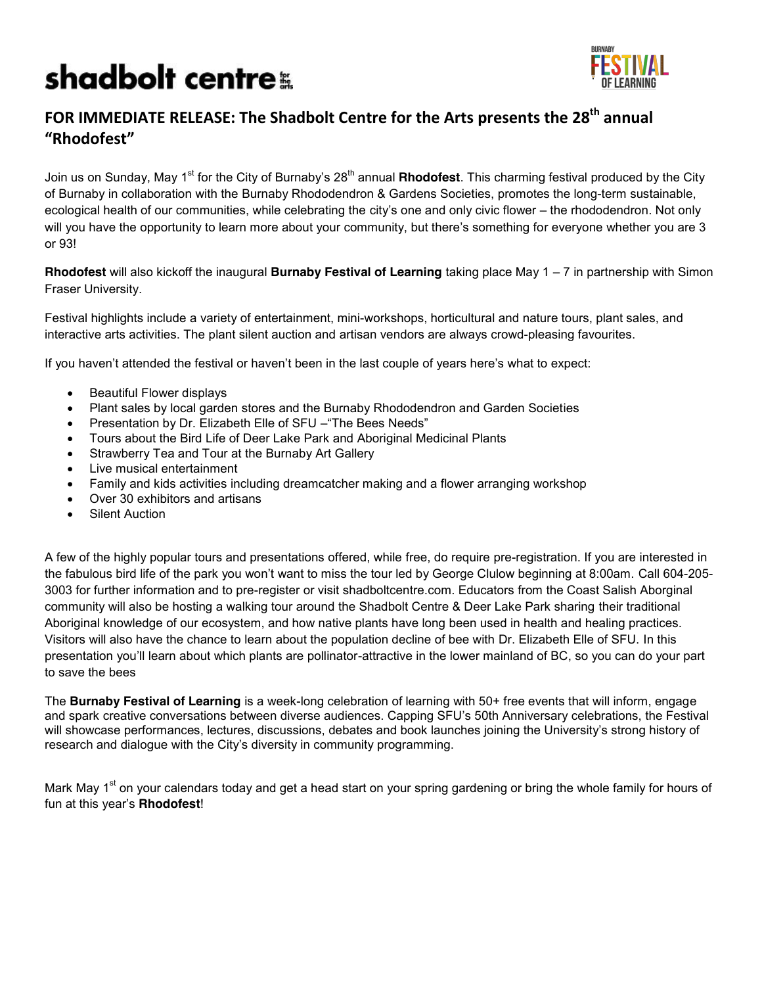## **shadbolt centre:**



## FOR IMMEDIATE RELEASE: The Shadbolt Centre for the Arts presents the 28<sup>th</sup> annual **"Rhodofest"**

Join us on Sunday, May 1<sup>st</sup> for the City of Burnaby's 28<sup>th</sup> annual **Rhodofest**. This charming festival produced by the City of Burnaby in collaboration with the Burnaby Rhododendron & Gardens Societies, promotes the long-term sustainable, ecological health of our communities, while celebrating the city's one and only civic flower – the rhododendron. Not only will you have the opportunity to learn more about your community, but there's something for everyone whether you are 3 or 93!

**Rhodofest** will also kickoff the inaugural **Burnaby Festival of Learning** taking place May 1 – 7 in partnership with Simon Fraser University.

Festival highlights include a variety of entertainment, mini-workshops, horticultural and nature tours, plant sales, and interactive arts activities. The plant silent auction and artisan vendors are always crowd-pleasing favourites.

If you haven't attended the festival or haven't been in the last couple of years here's what to expect:

- x Beautiful Flower displays
- Plant sales by local garden stores and the Burnaby Rhododendron and Garden Societies
- Presentation by Dr. Elizabeth Elle of SFU "The Bees Needs"
- Tours about the Bird Life of Deer Lake Park and Aboriginal Medicinal Plants
- Strawberry Tea and Tour at the Burnaby Art Gallery
- Live musical entertainment
- Family and kids activities including dreamcatcher making and a flower arranging workshop
- Over 30 exhibitors and artisans
- **Silent Auction**

A few of the highly popular tours and presentations offered, while free, do require pre-registration. If you are interested in the fabulous bird life of the park you won't want to miss the tour led by George Clulow beginning at 8:00am. Call 604-205- 3003 for further information and to pre-register or visit shadboltcentre.com. Educators from the Coast Salish Aborginal community will also be hosting a walking tour around the Shadbolt Centre & Deer Lake Park sharing their traditional Aboriginal knowledge of our ecosystem, and how native plants have long been used in health and healing practices. Visitors will also have the chance to learn about the population decline of bee with Dr. Elizabeth Elle of SFU. In this presentation you'll learn about which plants are pollinator-attractive in the lower mainland of BC, so you can do your part to save the bees

The **Burnaby Festival of Learning** is a week-long celebration of learning with 50+ free events that will inform, engage and spark creative conversations between diverse audiences. Capping SFU's 50th Anniversary celebrations, the Festival will showcase performances, lectures, discussions, debates and book launches joining the University's strong history of research and dialogue with the City's diversity in community programming.

Mark May 1<sup>st</sup> on your calendars today and get a head start on your spring gardening or bring the whole family for hours of fun at this year's **Rhodofest**!